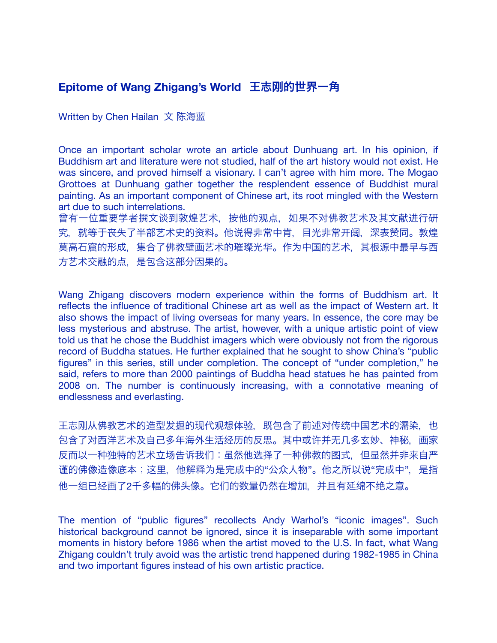## **Epitome of Wang Zhigang's World** 王志刚的世界一角

Written by Chen Hailan 文 陈海蓝

Once an important scholar wrote an article about Dunhuang art. In his opinion, if Buddhism art and literature were not studied, half of the art history would not exist. He was sincere, and proved himself a visionary. I can't agree with him more. The Mogao Grottoes at Dunhuang gather together the resplendent essence of Buddhist mural painting. As an important component of Chinese art, its root mingled with the Western art due to such interrelations.

曾有一位重要学者撰文谈到敦煌艺术,按他的观点,如果不对佛教艺术及其文献进行研 究, 就等于丧失了半部艺术史的资料。他说得非常中肯, 目光非常开阔, 深表赞同。敦煌 莫高石窟的形成,集合了佛教壁画艺术的璀璨光华。作为中国的艺术,其根源中最早与西 方艺术交融的点,是包含这部分因果的。

Wang Zhigang discovers modern experience within the forms of Buddhism art. It reflects the influence of traditional Chinese art as well as the impact of Western art. It also shows the impact of living overseas for many years. In essence, the core may be less mysterious and abstruse. The artist, however, with a unique artistic point of view told us that he chose the Buddhist imagers which were obviously not from the rigorous record of Buddha statues. He further explained that he sought to show China's "public figures" in this series, still under completion. The concept of "under completion," he said, refers to more than 2000 paintings of Buddha head statues he has painted from 2008 on. The number is continuously increasing, with a connotative meaning of endlessness and everlasting.

王志刚从佛教艺术的造型发掘的现代观想体验,既包含了前述对传统中国艺术的濡染,也 包含了对西洋艺术及自己多年海外生活经历的反思。其中或许并无几多玄妙、神秘,画家 反而以一种独特的艺术立场告诉我们:虽然他选择了一种佛教的图式,但显然并非来自严 谨的佛像造像底本;这里,他解释为是完成中的"公众人物"。他之所以说"完成中". 是指 他一组已经画了2千多幅的佛头像。它们的数量仍然在增加,并且有延绵不绝之意。

The mention of "public figures" recollects Andy Warhol's "iconic images". Such historical background cannot be ignored, since it is inseparable with some important moments in history before 1986 when the artist moved to the U.S. In fact, what Wang Zhigang couldn't truly avoid was the artistic trend happened during 1982-1985 in China and two important figures instead of his own artistic practice.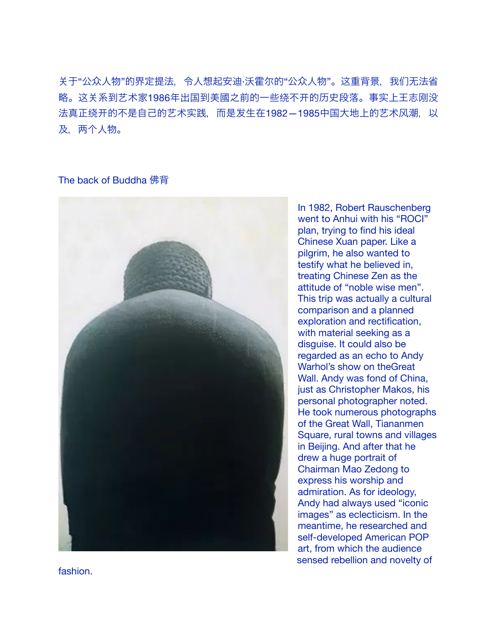䎔于"公众人物"的界定提法,令人想起安迪·沃霍尔的"公众人物"。这重背景,我们无法省 略。这关系到艺术家1986年出国到美國之前的一些绕不开的历史段落。事实上王志刚没 法真正绕开的不是自己的艺术实践,而是发生在1982—1985中国大地上的艺术风潮,以 及, 两个人物。

## The back of Buddha 佛背



In 1982, Robert Rauschenberg went to Anhui with his "ROCI" plan, trying to find his ideal Chinese Xuan paper. Like a pilgrim, he also wanted to testify what he believed in, treating Chinese Zen as the attitude of "noble wise men". This trip was actually a cultural comparison and a planned exploration and rectification, with material seeking as a disguise. It could also be regarded as an echo to Andy Warhol's show on theGreat Wall. Andy was fond of China, just as Christopher Makos, his personal photographer noted. He took numerous photographs of the Great Wall, Tiananmen Square, rural towns and villages in Beijing. And after that he drew a huge portrait of Chairman Mao Zedong to express his worship and admiration. As for ideology, Andy had always used "iconic images" as eclecticism. In the meantime, he researched and self-developed American POP art, from which the audience sensed rebellion and novelty of

fashion.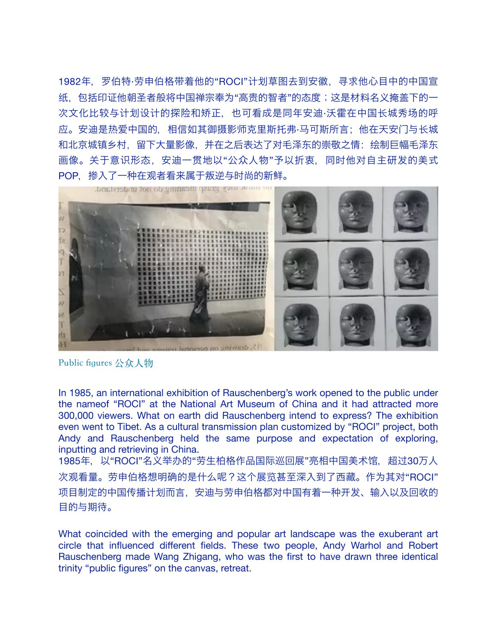1982年,罗伯特·劳申伯格带着他的"ROCI"计划草图去到安徽,寻求他心目中的中国宣 纸,包括印证他朝圣者般将中国禅宗奉为"高贵的智者"的态度;这是材料名义掩盖下的一 次文化比较与计䎞设计的探险和矫正,也可看成是同年安迪·沃霍在中国长城秀场的呼 应。安迪是热爱中国的,相信如其御摄影师克里斯托弗·马可斯所言;他在天安门与长城 和北京城镇乡村,留下大量影像,并在之后表达了对毛泽东的崇敬之情:绘制巨幅毛泽东 画像。关于意识形态,安迪一贯地以"公众人物"予以折衷,同时他对自主研发的美式 POP, 掺入了一种在观者看来属于叛逆与时尚的新鲜。



Public figures 公众人物

In 1985, an international exhibition of Rauschenberg's work opened to the public under the nameof "ROCI" at the National Art Museum of China and it had attracted more 300,000 viewers. What on earth did Rauschenberg intend to express? The exhibition even went to Tibet. As a cultural transmission plan customized by "ROCI" project, both Andy and Rauschenberg held the same purpose and expectation of exploring, inputting and retrieving in China.

1985年, 以"ROCI"名义举办的"劳生柏格作品国际巡回展"亮相中国美术馆, 超过30万人 次观看量。劳申伯格想明确的是什么呢?这个展览甚至深入到了西藏。作为其对"ROCI" 项目制定的中国传播计划而言,安迪与劳申伯格都对中国有着一种开发、输入以及回收的 目的与期待。

What coincided with the emerging and popular art landscape was the exuberant art circle that influenced different fields. These two people, Andy Warhol and Robert Rauschenberg made Wang Zhigang, who was the first to have drawn three identical trinity "public figures" on the canvas, retreat.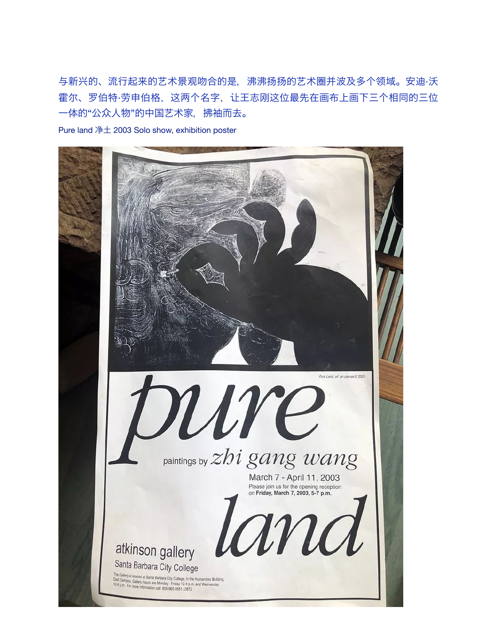与新兴的、流行起来的艺术景观吻合的是,沸沸扬扬的艺术圈并波及多个领域。安迪·沃 霍尔、罗伯特·劳申伯格,这两个名字,让王志刚这位最先在画布上画下三个相同的三位 一体的"公众人物"的中国艺术家,拂袖而去。

Pure land 净土 2003 Solo show, exhibition poster

![](_page_3_Picture_2.jpeg)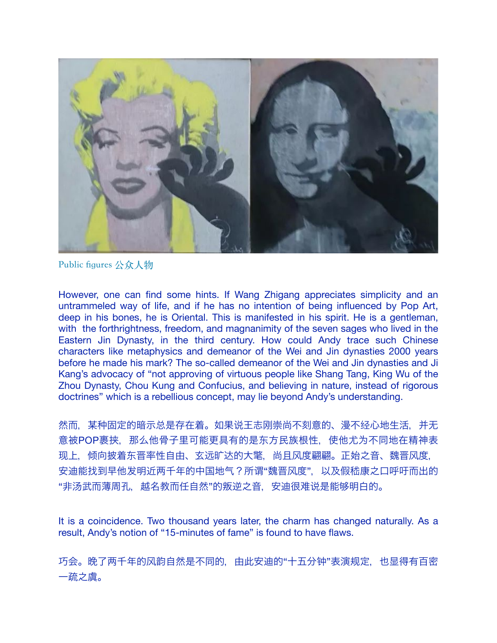![](_page_4_Picture_0.jpeg)

Public figures 公众人物

However, one can find some hints. If Wang Zhigang appreciates simplicity and an untrammeled way of life, and if he has no intention of being influenced by Pop Art, deep in his bones, he is Oriental. This is manifested in his spirit. He is a gentleman, with the forthrightness, freedom, and magnanimity of the seven sages who lived in the Eastern Jin Dynasty, in the third century. How could Andy trace such Chinese characters like metaphysics and demeanor of the Wei and Jin dynasties 2000 years before he made his mark? The so-called demeanor of the Wei and Jin dynasties and Ji Kang's advocacy of "not approving of virtuous people like Shang Tang, King Wu of the Zhou Dynasty, Chou Kung and Confucius, and believing in nature, instead of rigorous doctrines" which is a rebellious concept, may lie beyond Andy's understanding.

然而,某种固定的暗示总是存在着。如果说王志刚崇尚不刻意的、漫不经心地生活,并无 意被POP裹挟, 那么他骨子里可能更具有的是东方民族根性, 使他尤为不同地在精神表 现上,倾向披着东晋率性自由、玄远旷达的大氅,尚且风度翩翩。正始之音、魏晋风度, 安迪能找到早他发明近两千年的中国地气?所谓"魏晋风度",以及促嵇康之口呼吁而出的 "非汤武而薄周孔,越名教而任自然"的叛逆之音,安迪很难说是能够明白的。

It is a coincidence. Two thousand years later, the charm has changed naturally. As a result, Andy's notion of "15-minutes of fame" is found to have flaws.

巧会。晚了两千年的风韵自然是不同的,由此安迪的"十五分钟"表演规定,也显得有百密 一疏之虞。